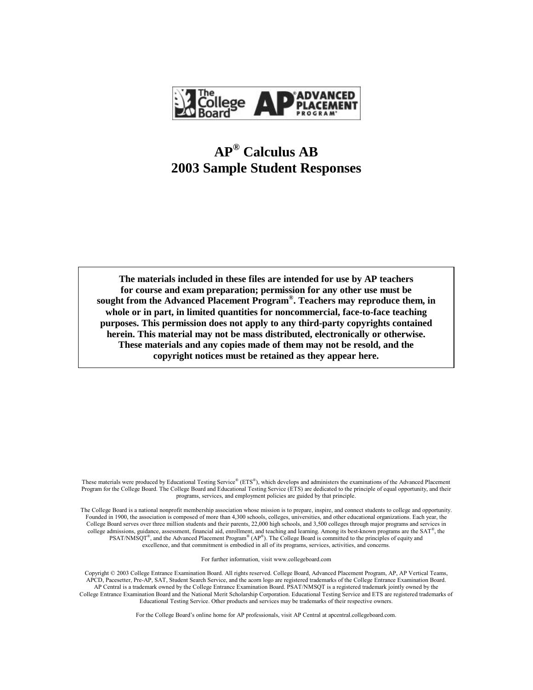

## **AP® Calculus AB 2003 Sample Student Responses**

**The materials included in these files are intended for use by AP teachers for course and exam preparation; permission for any other use must be sought from the Advanced Placement Program® . Teachers may reproduce them, in whole or in part, in limited quantities for noncommercial, face-to-face teaching purposes. This permission does not apply to any third-party copyrights contained herein. This material may not be mass distributed, electronically or otherwise. These materials and any copies made of them may not be resold, and the copyright notices must be retained as they appear here.**

These materials were produced by Educational Testing Service® (ETS®), which develops and administers the examinations of the Advanced Placement Program for the College Board. The College Board and Educational Testing Service (ETS) are dedicated to the principle of equal opportunity, and their programs, services, and employment policies are guided by that principle.

The College Board is a national nonprofit membership association whose mission is to prepare, inspire, and connect students to college and opportunity. Founded in 1900, the association is composed of more than 4,300 schools, colleges, universities, and other educational organizations. Each year, the College Board serves over three million students and their parents, 22,000 high schools, and 3,500 colleges through major programs and services in college admissions, guidance, assessment, financial aid, enrollment, and teaching and learning. Among its best-known programs are the  $SAT^{\circ}$ , the  $PSAT/NM\text{SQT}^*$ , and the Advanced Placement Program<sup>®</sup> (AP<sup>®</sup>). The College Board is committed to the principles of equity and excellence, and that commitment is embodied in all of its programs, services, activities, and concerns.

For further information, visit www.collegeboard.com

Copyright © 2003 College Entrance Examination Board. All rights reserved. College Board, Advanced Placement Program, AP, AP Vertical Teams, APCD, Pacesetter, Pre-AP, SAT, Student Search Service, and the acorn logo are registered trademarks of the College Entrance Examination Board. AP Central is a trademark owned by the College Entrance Examination Board. PSAT/NMSQT is a registered trademark jointly owned by the College Entrance Examination Board and the National Merit Scholarship Corporation. Educational Testing Service and ETS are registered trademarks of Educational Testing Service. Other products and services may be trademarks of their respective owners.

For the College Board's online home for AP professionals, visit AP Central at apcentral.collegeboard.com.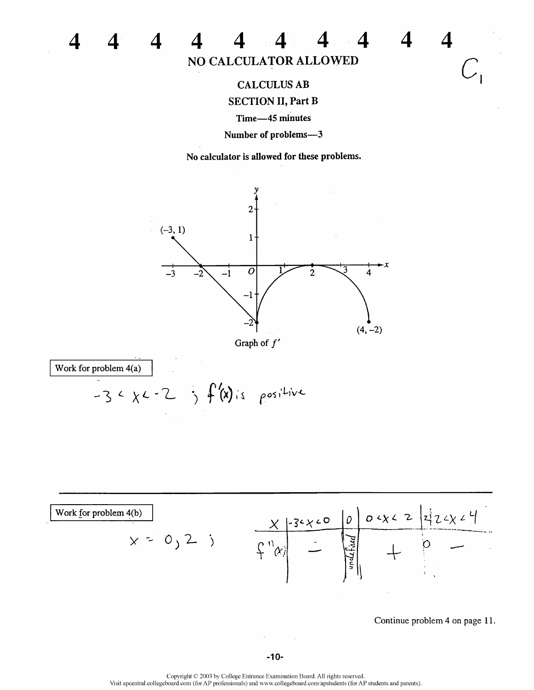

 $\blacksquare$ 

 $\Delta$ 

 $\boldsymbol{\Delta}$ 

 $\boldsymbol{\Delta}$ 

 $\Delta$ 

 $\boldsymbol{4}$ 

**CALCULUS AB SECTION II, Part B** 

Time-45 minutes

Number of problems-3

No calculator is allowed for these problems.



Work for problem 4(a)

 $\boldsymbol{\Delta}$ 

 $\boldsymbol{\varDelta}$ 

 $\boldsymbol{\Delta}$ 

 $\boldsymbol{4}$ 

 $-3 < x - 2$  ;  $f'(x)$  is positive



Continue problem 4 on page 11.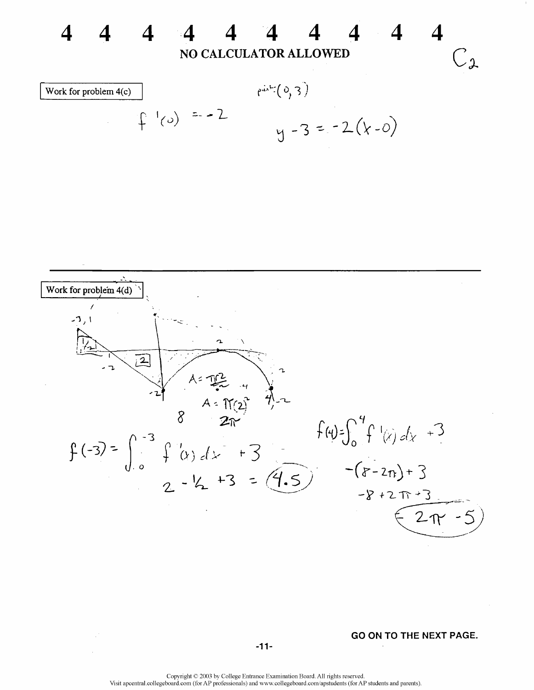

 $-8 + 27 + 3$  $2\pi - 5$ 

GO ON TO THE NEXT PAGE.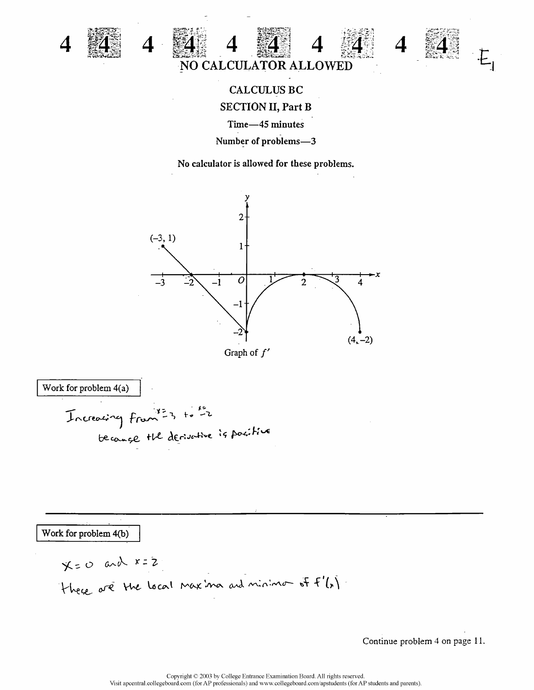

 $\boldsymbol{\varDelta}$ 



## CALCULUS BC **SECTION II, Part B** Time-45 minutes

Number of problems-3

No calculator is allowed for these problems.





Work for problem 4(a)

\nTherefore, 
$$
4(a) = 1
$$

\nTherefore,  $4 \times 3 + 1 = 2$ 

\nbecause the derivative is positive.

Work for problem 4(b)

$$
x=0
$$
 and  $x=2$   
They are the local maxima and minimo of  $f'(x)$ .

Continue problem 4 on page 11.

 $E_{\parallel}$